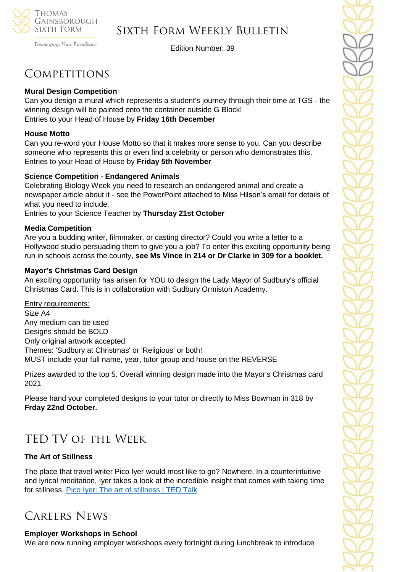

Developing Your Excellence

## Sixth Form Weekly Bulletin

Edition Number: 39

# **COMPETITIONS**

### **Mural Design Competition**

Can you design a mural which represents a student's journey through their time at TGS - the winning design will be painted onto the container outside G Block! Entries to your Head of House by **Friday 16th December**

#### **House Motto**

Can you re-word your House Motto so that it makes more sense to you. Can you describe someone who represents this or even find a celebrity or person who demonstrates this. Entries to your Head of House by **Friday 5th November**

### **Science Competition - Endangered Animals**

Celebrating Biology Week you need to research an endangered animal and create a newspaper article about it - see the PowerPoint attached to Miss Hilson's email for details of what you need to include.

Entries to your Science Teacher by **Thursday 21st October**

#### **Media Competition**

Are you a budding writer, filmmaker, or casting director? Could you write a letter to a Hollywood studio persuading them to give you a job? To enter this exciting opportunity being run in schools across the county, **see Ms Vince in 214 or Dr Clarke in 309 for a booklet.**

#### **Mayor's Christmas Card Design**

An exciting opportunity has arisen for YOU to design the Lady Mayor of Sudbury's official Christmas Card. This is in collaboration with Sudbury Ormiston Academy.

#### Entry requirements:

Size A4 Any medium can be used Designs should be BOLD Only original artwork accepted Themes: 'Sudbury at Christmas' or 'Religious' or both! MUST include your full name, year, tutor group and house on the REVERSE

Prizes awarded to the top 5. Overall winning design made into the Mayor's Christmas card 2021

Please hand your completed designs to your tutor or directly to Miss Bowman in 318 by **Frday 22nd October.** 

# TED TV of the Week

### **The Art of Stillness**

The place that travel writer Pico Iyer would most like to go? Nowhere. In a counterintuitive and lyrical meditation, Iyer takes a look at the incredible insight that comes with taking time for stillness. [Pico Iyer: The art of stillness | TED Talk](https://www.ted.com/talks/pico_iyer_the_art_of_stillness)

# Careers News

### **Employer Workshops in School**

We are now running employer workshops every fortnight during lunchbreak to introduce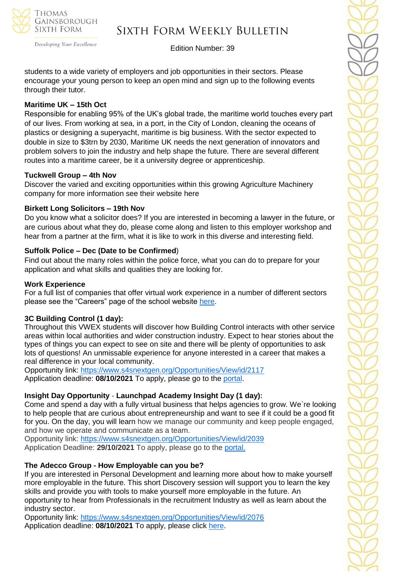

Developing Your Excellence

# Sixth Form Weekly Bulletin

Edition Number: 39

students to a wide variety of employers and job opportunities in their sectors. Please encourage your young person to keep an open mind and sign up to the following events through their tutor.

#### **Maritime UK – 15th Oct**

Responsible for enabling 95% of the UK's global trade, the maritime world touches every part of our lives. From working at sea, in a port, in the City of London, cleaning the oceans of plastics or designing a superyacht, maritime is big business. With the sector expected to double in size to \$3trn by 2030, Maritime UK needs the next generation of innovators and problem solvers to join the industry and help shape the future. There are several different routes into a maritime career, be it a university degree or apprenticeship.

#### **Tuckwell Group – 4th Nov**

Discover the varied and exciting opportunities within this growing Agriculture Machinery company for more information see their website here

### **Birkett Long Solicitors – 19th Nov**

Do you know what a solicitor does? If you are interested in becoming a lawyer in the future, or are curious about what they do, please come along and listen to this employer workshop and hear from a partner at the firm, what it is like to work in this diverse and interesting field.

### **Suffolk Police – Dec (Date to be Confirmed**)

Find out about the many roles within the police force, what you can do to prepare for your application and what skills and qualities they are looking for.

#### **Work Experience**

For a full list of companies that offer virtual work experience in a number of different sectors please see the "Careers" page of the school website [here.](https://tgschool.net/careers)

### **3C Building Control (1 day):**

Throughout this VWEX students will discover how Building Control interacts with other service areas within local authorities and wider construction industry. Expect to hear stories about the types of things you can expect to see on site and there will be plenty of opportunities to ask lots of questions! An unmissable experience for anyone interested in a career that makes a real difference in your local community.

Opportunity link: <https://www.s4snextgen.org/Opportunities/View/id/2117> Application deadline: **08/10/2021** To apply, please go to the [portal.](https://www.s4snextgen.org/)

### **Insight Day Opportunity** - **Launchpad Academy Insight Day (1 day):**

Come and spend a day with a fully virtual business that helps agencies to grow. We`re looking to help people that are curious about entrepreneurship and want to see if it could be a good fit for you. On the day, you will learn how we manage our community and keep people engaged, and how we operate and communicate as a team.

Opportunity link: <https://www.s4snextgen.org/Opportunities/View/id/2039> Application Deadline: **29/10/2021** To apply, please go to the [portal.](https://www.s4snextgen.org/)

### **The Adecco Group - How Employable can you be?**

If you are interested in Personal Development and learning more about how to make yourself more employable in the future. This short Discovery session will support you to learn the key skills and provide you with tools to make yourself more employable in the future. An opportunity to hear from Professionals in the recruitment Industry as well as learn about the industry sector.

Opportunity link: <https://www.s4snextgen.org/Opportunities/View/id/2076> Application deadline: **08/10/2021** To apply, please click [here.](https://forms.office.com/Pages/ResponsePage.aspx?id=HFqhLo7yMEahv9dFTLRO6zrXm6ITwINPrFy8lSVcl2JUNjRNMUlYVFZUUFRWNVQxV1RLNEVFTjc4VS4u)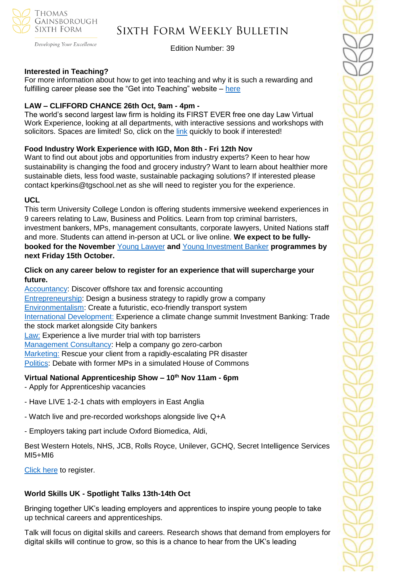

# Sixth Form Weekly Bulletin

Developing Your Excellence

Edition Number: 39

### **Interested in Teaching?**

For more information about how to get into teaching and why it is such a rewarding and fulfilling career please see the "Get into Teaching" website – [here](https://getintoteaching.education.gov.uk/)

#### **LAW – CLIFFORD CHANCE 26th Oct, 9am - 4pm -**

The world's second largest law firm is holding its FIRST EVER free one day Law Virtual Work Experience, looking at all departments, with interactive sessions and workshops with solicitors. Spaces are limited! So, click on the [link](http://www.surveykey.com/r/Clifford-Chance) quickly to book if interested!

### **Food Industry Work Experience with IGD, Mon 8th - Fri 12th Nov**

Want to find out about jobs and opportunities from industry experts? Keen to hear how sustainability is changing the food and grocery industry? Want to learn about healthier more sustainable diets, less food waste, sustainable packaging solutions? If interested please contact kperkins@tgschool.net as she will need to register you for the experience.

#### **UCL**

This term University College London is offering students immersive weekend experiences in 9 careers relating to Law, Business and Politics. Learn from top criminal barristers, investment bankers, MPs, management consultants, corporate lawyers, United Nations staff and more. Students can attend in-person at UCL or live online. **We expect to be fullybooked for the November** [Young Lawyer](https://investin.org/pages/law?mc_cid=eaec1a5684&mc_eid=894e4199ae) **and** [Young Investment Banker](https://investin.org/pages/investment-banking?mc_cid=eaec1a5684&mc_eid=894e4199ae) **programmes by next Friday 15th October.**

### **Click on any career below to register for an experience that will supercharge your future.**

[Accountancy:](https://investin.org/pages/accountancy?mc_cid=eaec1a5684&mc_eid=894e4199ae) Discover offshore tax and forensic accounting [Entrepreneurship:](https://investin.org/pages/entrepreneurship?mc_cid=eaec1a5684&mc_eid=894e4199ae) Design a business strategy to rapidly grow a company [Environmentalism:](https://investin.org/pages/environmentalism?mc_cid=eaec1a5684&mc_eid=894e4199ae) Create a futuristic, eco-friendly transport system [International Development:](https://investin.org/pages/international-development?mc_cid=eaec1a5684&mc_eid=894e4199ae) Experience a climate change summit Investment Banking: Trade the stock market alongside City bankers [Law:](https://investin.org/pages/law?mc_cid=eaec1a5684&mc_eid=894e4199ae) Experience a live murder trial with top barristers [Management Consultancy:](https://investin.org/pages/management-consultancy?mc_cid=eaec1a5684&mc_eid=894e4199ae) Help a company go zero-carbon [Marketing:](https://investin.org/pages/marketing?mc_cid=eaec1a5684&mc_eid=894e4199ae) Rescue your client from a rapidly-escalating PR disaster [Politics:](https://investin.org/pages/politics?mc_cid=eaec1a5684&mc_eid=894e4199ae) Debate with former MPs in a simulated House of Commons

### **Virtual National Apprenticeship Show – 10th Nov 11am - 6pm**

- Apply for Apprenticeship vacancies
- Have LIVE 1-2-1 chats with employers in East Anglia
- Watch live and pre-recorded workshops alongside live Q+A
- Employers taking part include Oxford Biomedica, Aldi,

Best Western Hotels, NHS, JCB, Rolls Royce, Unilever, GCHQ, Secret Intelligence Services MI5+MI6

[Click here](https://nascentral.vfairs.com/en/register) to register.

### **World Skills UK - Spotlight Talks 13th-14th Oct**

Bringing together UK's leading employers and apprentices to inspire young people to take up technical careers and apprenticeships.

Talk will focus on digital skills and careers. Research shows that demand from employers for digital skills will continue to grow, so this is a chance to hear from the UK's leading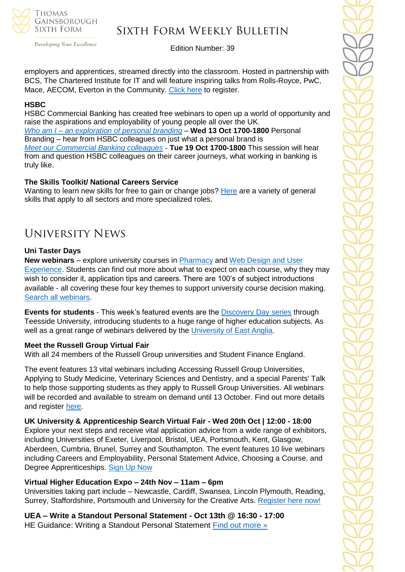

#### Developing Your Excellence

# Sixth Form Weekly Bulletin

Edition Number: 39

employers and apprentices, streamed directly into the classroom. Hosted in partnership with BCS, The Chartered Institute for IT and will feature inspiring talks from Rolls-Royce, PwC, Mace, AECOM, Everton in the Community. [Click here](https://www.worldskillsuk.org/careers-advice/spotlight-talks-inspiring-careers-excellence/?utm_source=MailChimp&utm_medium=Educator_email&utm_campaign=Spotlight&utm_source=WorldSkills+UK+Newsletter&utm_campaign=dce6a1a6a4-EMAIL_CAMPAIGN_2019_12_10_03_37_COPY_01&utm_medium=email&utm_term=0_844496feda-dce6a1a6a4-146077034) to register.

#### **HSBC**

HSBC Commercial Banking has created free webinars to open up a world of opportunity and raise the aspirations and employability of young people all over the UK. *Who am I – [an exploration of personal branding](https://hsbc.zoom.us/webinar/register/WN_xzXN9tSzSPWLji11IgidKA)* – **Wed 13 Oct 1700-1800** Personal Branding – hear from HSBC colleagues on just what a personal brand is *[Meet our Commercial Banking colleagues](https://hsbc.zoom.us/webinar/register/WN_f6PJFLrnT4Sdw9KE8Gw9PA)* - **Tue 19 Oct 1700-1800** This session will hear from and question HSBC colleagues on their career journeys, what working in banking is truly like.

#### **The Skills Toolkit/ National Careers Service**

Wanting to learn new skills for free to gain or change jobs? [Here](https://nationalcareers.service.gov.uk/find-a-course/the-skills-toolkit) are a variety of general skills that apply to all sectors and more specialized roles.

# University News

#### **Uni Taster Days**

**New webinars** – explore university courses in [Pharmacy](https://www.unitasterdays.com/ondemand/webinar/139/pharmacy) and [Web Design and User](https://www.unitasterdays.com/ondemand/webinar/138/web-design-and-user-ex)  [Experience.](https://www.unitasterdays.com/ondemand/webinar/138/web-design-and-user-ex) Students can find out more about what to expect on each course, why they may wish to consider it, application tips and careers. There are 100's of subject introductions available - all covering these four key themes to support university course decision making. [Search all webinars.](https://www.unitasterdays.com/ondemand)

**Events for students** - This week's featured events are the [Discovery Day series](https://www.unitasterdays.com/search.aspx?IID=235&Sort=D) through Teesside University, introducing students to a huge range of higher education subjects. As well as a great range of webinars delivered by the [University of East Anglia.](https://www.unitasterdays.com/search.aspx?IID=297&Sort=D)

#### **Meet the Russell Group Virtual Fair**

With all 24 members of the Russell Group universities and Student Finance England.

The event features 13 vital webinars including Accessing Russell Group Universities, Applying to Study Medicine, Veterinary Sciences and Dentistry, and a special Parents' Talk to help those supporting students as they apply to Russell Group Universities. All webinars will be recorded and available to stream on demand until 13 October. Find out more details and register [here.](http://russellgroup.vfairs.com/)

**UK University & Apprenticeship Search Virtual Fair - Wed 20th Oct | 12:00 - 18:00** Explore your next steps and receive vital application advice from a wide range of exhibitors, including Universities of Exeter, Liverpool, Bristol, UEA, Portsmouth, Kent, Glasgow, Aberdeen, Cumbria, Brunel, Surrey and Southampton. The event features 10 live webinars including Careers and Employability, Personal Statement Advice, Choosing a Course, and Degree Apprenticeships. [Sign Up Now](https://ukunisearch.vfairs.com/)

#### **Virtual Higher Education Expo – 24th Nov – 11am – 6pm**

Universities taking part include – Newcastle, Cardiff, Swansea, Lincoln Plymouth, Reading, Surrey, Staffordshire, Portsmouth and University for the Creative Arts. [Register here now!](https://ukhex.vfairs.com/en/register?utm_source=https%3a%2f%2fschools.tecl.co.uk%2feducationcompany5lz%2f&utm_medium=email&utm_campaign=UKHEX+-+Email+1+-+September+2021&utm_term=Your+invitation+to+the+Virtual+UK+Higher+Education+Expo+-+24th+November+2021+&utm_content=4907216&gator_td=fUqJdhRw7MVIlPiB19RyeIo12X5A2utf%2bMM0T3XBusxDT87eCf15vasXf9NkU2ddNg%2fMyKlZSWXIPNMc7xHtce0dLfnMNKa%2bW%2f9AOji9srvXT9znGno3qF%2bCbNUs7r0SxoATlV6mYRLqMTtpEd3Vl%2f0J43OPjRXEeB5DUuZhBPDg6ysIcp7RVBBbQgupKFO6yKu8dErJatDTxIVJ0AIKpg%3d%3d)

**UEA – Write a Standout Personal Statement - Oct 13th @ 16:30 - 17:00**  HE Guidance: Writing a Standout Personal Statement [Find out more »](https://www.channeltalent.co.uk/event/he-guidance-writing-a-standout-personal-statement-with-higher-education-advisers-from-university-of-east-anglia/)